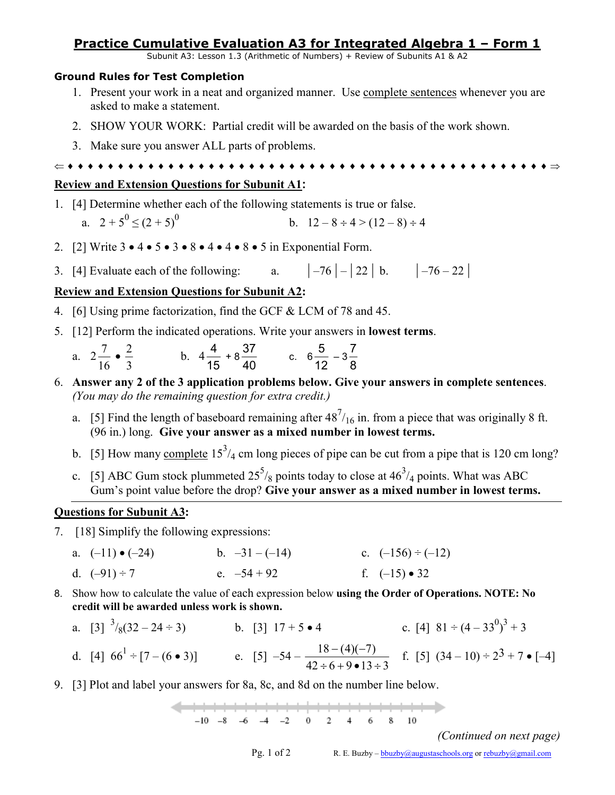### **Practice Cumulative Evaluation A3 for Integrated Algebra 1 – Form 1**

Subunit A3: Lesson 1.3 (Arithmetic of Numbers) + Review of Subunits A1 & A2

#### **Ground Rules for Test Completion**

- 1. Present your work in a neat and organized manner. Use complete sentences whenever you are asked to make a statement.
- 2. SHOW YOUR WORK: Partial credit will be awarded on the basis of the work shown.
- 3. Make sure you answer ALL parts of problems.

⇐ ♦ ♦ ♦ ♦ ♦ ♦ ♦ ♦ ♦ ♦ ♦ ♦ ♦ ♦ ♦ ♦ ♦ ♦ ♦ ♦ ♦ ♦ ♦ ♦ ♦ ♦ ♦ ♦ ♦ ♦ ♦ ♦ ♦ ♦ ♦ ♦ ♦ ♦ ♦ ♦ ♦ ♦ ♦ ♦ ♦ ♦ ♦ ♦ ⇒

## **Review and Extension Questions for Subunit A1:**

1. [4] Determine whether each of the following statements is true or false.

a. 
$$
2+5^0 \le (2+5)^0
$$
 b.  $12-8 \div 4 > (12-8) \div 4$ 

- 2. [2] Write  $3 \cdot 4 \cdot 5 \cdot 3 \cdot 8 \cdot 4 \cdot 4 \cdot 8 \cdot 5$  in Exponential Form.
- 3. [4] Evaluate each of the following:  $a. \qquad |-76| |22| b. \qquad |-76 22|$

### **Review and Extension Questions for Subunit A2:**

- 4. [6] Using prime factorization, find the GCF & LCM of 78 and 45.
- 5. [12] Perform the indicated operations. Write your answers in **lowest terms**.
	- a. 2 16  $\frac{7}{2}$  . 3  $\frac{2}{3}$  b.  $4\frac{4}{15}$  $\frac{4}{15} + 8\frac{37}{40}$  $\frac{37}{40}$  c. 6 $\frac{5}{12}$  $\frac{5}{12} - 3\frac{7}{8}$ 7
- 6. **Answer any 2 of the 3 application problems below. Give your answers in complete sentences**. *(You may do the remaining question for extra credit.)*
	- a. [5] Find the length of baseboard remaining after  $48^{7}/_{16}$  in. from a piece that was originally 8 ft. (96 in.) long. **Give your answer as a mixed number in lowest terms.**
	- b. [5] How many complete  $15^3/4$  cm long pieces of pipe can be cut from a pipe that is 120 cm long?
	- c. [5] ABC Gum stock plummeted  $25^5/g$  points today to close at  $46^3/g$  points. What was ABC Gum's point value before the drop? **Give your answer as a mixed number in lowest terms.**

### **Questions for Subunit A3:**

- 7. [18] Simplify the following expressions:
	- a.  $(-11) \cdot (-24)$  b.  $-31 (-14)$  c.  $(-156) \div (-12)$ d.  $(-91) \div 7$  e.  $-54 + 92$  f.  $(-15) \cdot 32$
- 8. Show how to calculate the value of each expression below **using the Order of Operations. NOTE: No credit will be awarded unless work is shown.**
	- a.  $\begin{bmatrix} 3 \end{bmatrix}^3$ /<sub>8</sub>(32 24 ÷ 3) b. [3] 17 + 5 4 c. [4]  $81 \div (4 33^0)^3 + 3$ d. [4]  $66^{1} \div [7 - (6 \cdot 3)]$  e. [5]  $-54$  - $42 \div 6 + 9 \cdot 13 \div 3$  $18 - (4)(-7)$  $\div 6 + 9 \bullet 13 \div$  $\frac{-(4)(-7)}{6-2}$  f. [5]  $(34-10) \div 2^3 + 7 \cdot [-4]$
- 9. [3] Plot and label your answers for 8a, 8c, and 8d on the number line below.

 $-10 -8 -6 -4 -2 0 2 4 6 8 10$  $4 \qquad 6 \qquad 8 \qquad 10$ 

*(Continued on next page)* 

Pg. 1 of 2 R. E. Buzby – [bbuzby@augustaschools.org](mailto:bbuzby@augustaschools.org) or [rebuzby@gmail.com](mailto:rebuzby@gmail.com)